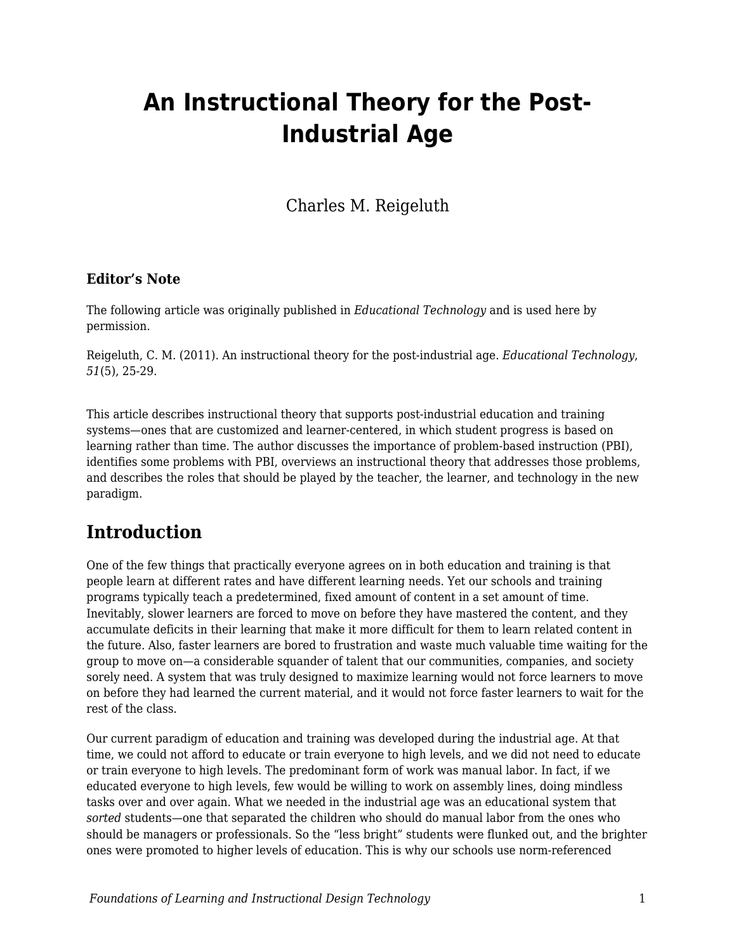# **An Instructional Theory for the Post-Industrial Age**

Charles M. Reigeluth

#### **Editor's Note**

The following article was originally published in *Educational Technology* and is used here by permission.

Reigeluth, C. M. (2011). An instructional theory for the post-industrial age. *Educational Technology*, *51*(5), 25-29.

This article describes instructional theory that supports post-industrial education and training systems—ones that are customized and learner-centered, in which student progress is based on learning rather than time. The author discusses the importance of problem-based instruction (PBI), identifies some problems with PBI, overviews an instructional theory that addresses those problems, and describes the roles that should be played by the teacher, the learner, and technology in the new paradigm.

### **Introduction**

One of the few things that practically everyone agrees on in both education and training is that people learn at different rates and have different learning needs. Yet our schools and training programs typically teach a predetermined, fixed amount of content in a set amount of time. Inevitably, slower learners are forced to move on before they have mastered the content, and they accumulate deficits in their learning that make it more difficult for them to learn related content in the future. Also, faster learners are bored to frustration and waste much valuable time waiting for the group to move on—a considerable squander of talent that our communities, companies, and society sorely need. A system that was truly designed to maximize learning would not force learners to move on before they had learned the current material, and it would not force faster learners to wait for the rest of the class.

Our current paradigm of education and training was developed during the industrial age. At that time, we could not afford to educate or train everyone to high levels, and we did not need to educate or train everyone to high levels. The predominant form of work was manual labor. In fact, if we educated everyone to high levels, few would be willing to work on assembly lines, doing mindless tasks over and over again. What we needed in the industrial age was an educational system that *sorted* students—one that separated the children who should do manual labor from the ones who should be managers or professionals. So the "less bright" students were flunked out, and the brighter ones were promoted to higher levels of education. This is why our schools use norm-referenced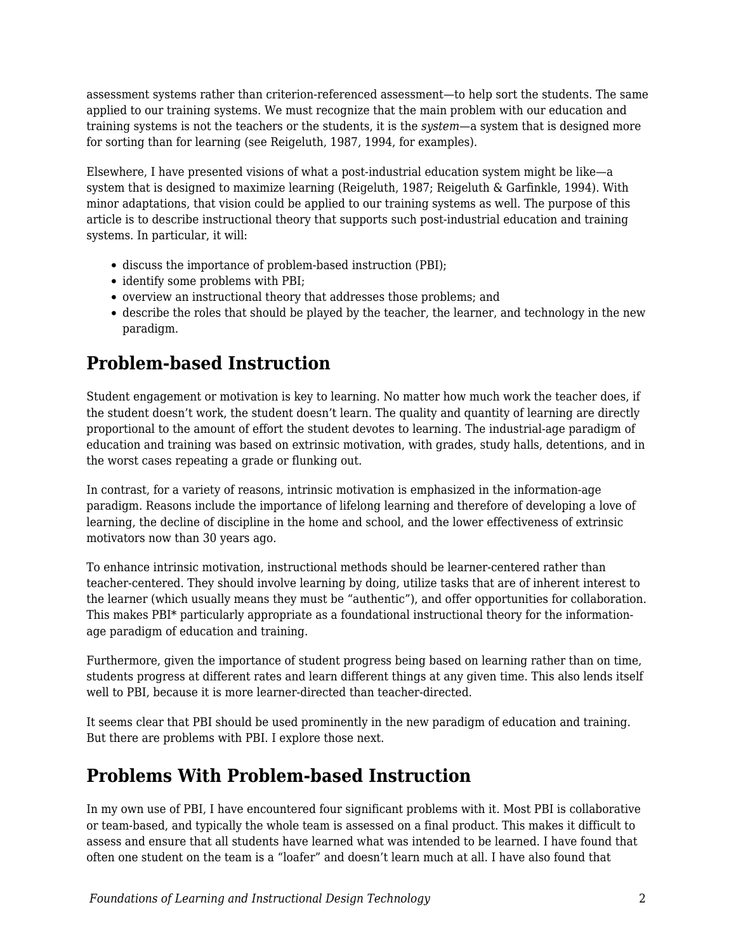assessment systems rather than criterion-referenced assessment—to help sort the students. The same applied to our training systems. We must recognize that the main problem with our education and training systems is not the teachers or the students, it is the *system*—a system that is designed more for sorting than for learning (see Reigeluth, 1987, 1994, for examples).

Elsewhere, I have presented visions of what a post-industrial education system might be like—a system that is designed to maximize learning (Reigeluth, 1987; Reigeluth & Garfinkle, 1994). With minor adaptations, that vision could be applied to our training systems as well. The purpose of this article is to describe instructional theory that supports such post-industrial education and training systems. In particular, it will:

- discuss the importance of problem-based instruction (PBI);
- identify some problems with PBI;
- overview an instructional theory that addresses those problems; and
- describe the roles that should be played by the teacher, the learner, and technology in the new paradigm.

## **Problem-based Instruction**

Student engagement or motivation is key to learning. No matter how much work the teacher does, if the student doesn't work, the student doesn't learn. The quality and quantity of learning are directly proportional to the amount of effort the student devotes to learning. The industrial-age paradigm of education and training was based on extrinsic motivation, with grades, study halls, detentions, and in the worst cases repeating a grade or flunking out.

In contrast, for a variety of reasons, intrinsic motivation is emphasized in the information-age paradigm. Reasons include the importance of lifelong learning and therefore of developing a love of learning, the decline of discipline in the home and school, and the lower effectiveness of extrinsic motivators now than 30 years ago.

To enhance intrinsic motivation, instructional methods should be learner-centered rather than teacher-centered. They should involve learning by doing, utilize tasks that are of inherent interest to the learner (which usually means they must be "authentic"), and offer opportunities for collaboration. This makes PBI\* particularly appropriate as a foundational instructional theory for the informationage paradigm of education and training.

Furthermore, given the importance of student progress being based on learning rather than on time, students progress at different rates and learn different things at any given time. This also lends itself well to PBI, because it is more learner-directed than teacher-directed.

It seems clear that PBI should be used prominently in the new paradigm of education and training. But there are problems with PBI. I explore those next.

### **Problems With Problem-based Instruction**

In my own use of PBI, I have encountered four significant problems with it. Most PBI is collaborative or team-based, and typically the whole team is assessed on a final product. This makes it difficult to assess and ensure that all students have learned what was intended to be learned. I have found that often one student on the team is a "loafer" and doesn't learn much at all. I have also found that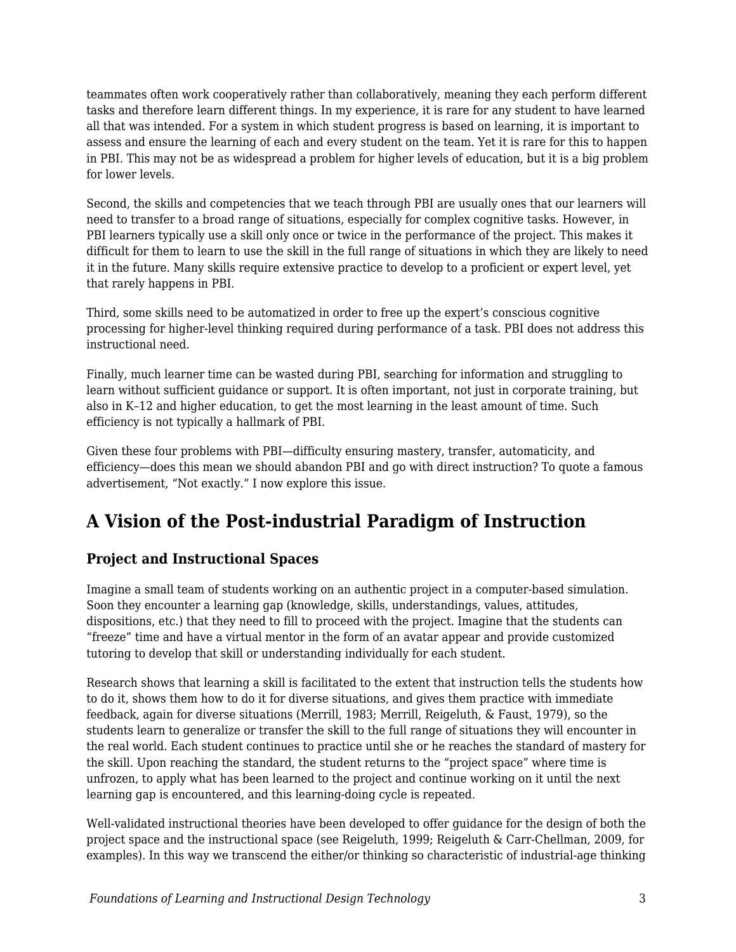teammates often work cooperatively rather than collaboratively, meaning they each perform different tasks and therefore learn different things. In my experience, it is rare for any student to have learned all that was intended. For a system in which student progress is based on learning, it is important to assess and ensure the learning of each and every student on the team. Yet it is rare for this to happen in PBI. This may not be as widespread a problem for higher levels of education, but it is a big problem for lower levels.

Second, the skills and competencies that we teach through PBI are usually ones that our learners will need to transfer to a broad range of situations, especially for complex cognitive tasks. However, in PBI learners typically use a skill only once or twice in the performance of the project. This makes it difficult for them to learn to use the skill in the full range of situations in which they are likely to need it in the future. Many skills require extensive practice to develop to a proficient or expert level, yet that rarely happens in PBI.

Third, some skills need to be automatized in order to free up the expert's conscious cognitive processing for higher-level thinking required during performance of a task. PBI does not address this instructional need.

Finally, much learner time can be wasted during PBI, searching for information and struggling to learn without sufficient guidance or support. It is often important, not just in corporate training, but also in K–12 and higher education, to get the most learning in the least amount of time. Such efficiency is not typically a hallmark of PBI.

Given these four problems with PBI—difficulty ensuring mastery, transfer, automaticity, and efficiency—does this mean we should abandon PBI and go with direct instruction? To quote a famous advertisement, "Not exactly." I now explore this issue.

# **A Vision of the Post-industrial Paradigm of Instruction**

### **Project and Instructional Spaces**

Imagine a small team of students working on an authentic project in a computer-based simulation. Soon they encounter a learning gap (knowledge, skills, understandings, values, attitudes, dispositions, etc.) that they need to fill to proceed with the project. Imagine that the students can "freeze" time and have a virtual mentor in the form of an avatar appear and provide customized tutoring to develop that skill or understanding individually for each student.

Research shows that learning a skill is facilitated to the extent that instruction tells the students how to do it, shows them how to do it for diverse situations, and gives them practice with immediate feedback, again for diverse situations (Merrill, 1983; Merrill, Reigeluth, & Faust, 1979), so the students learn to generalize or transfer the skill to the full range of situations they will encounter in the real world. Each student continues to practice until she or he reaches the standard of mastery for the skill. Upon reaching the standard, the student returns to the "project space" where time is unfrozen, to apply what has been learned to the project and continue working on it until the next learning gap is encountered, and this learning-doing cycle is repeated.

Well-validated instructional theories have been developed to offer guidance for the design of both the project space and the instructional space (see Reigeluth, 1999; Reigeluth & Carr-Chellman, 2009, for examples). In this way we transcend the either/or thinking so characteristic of industrial-age thinking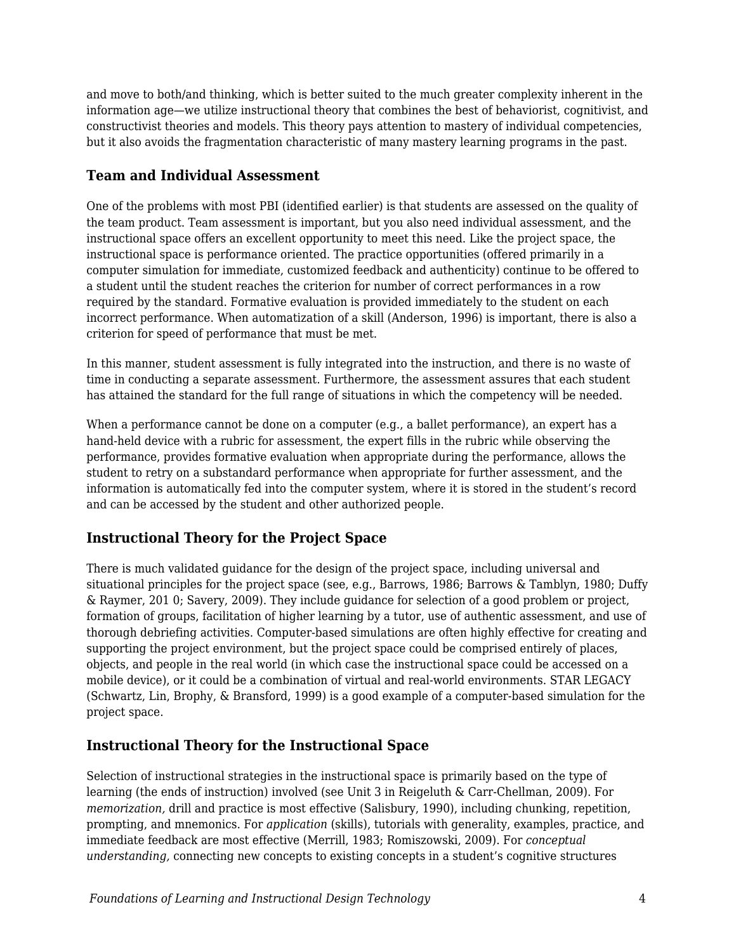and move to both/and thinking, which is better suited to the much greater complexity inherent in the information age—we utilize instructional theory that combines the best of behaviorist, cognitivist, and constructivist theories and models. This theory pays attention to mastery of individual competencies, but it also avoids the fragmentation characteristic of many mastery learning programs in the past.

#### **Team and Individual Assessment**

One of the problems with most PBI (identified earlier) is that students are assessed on the quality of the team product. Team assessment is important, but you also need individual assessment, and the instructional space offers an excellent opportunity to meet this need. Like the project space, the instructional space is performance oriented. The practice opportunities (offered primarily in a computer simulation for immediate, customized feedback and authenticity) continue to be offered to a student until the student reaches the criterion for number of correct performances in a row required by the standard. Formative evaluation is provided immediately to the student on each incorrect performance. When automatization of a skill (Anderson, 1996) is important, there is also a criterion for speed of performance that must be met.

In this manner, student assessment is fully integrated into the instruction, and there is no waste of time in conducting a separate assessment. Furthermore, the assessment assures that each student has attained the standard for the full range of situations in which the competency will be needed.

When a performance cannot be done on a computer (e.g., a ballet performance), an expert has a hand-held device with a rubric for assessment, the expert fills in the rubric while observing the performance, provides formative evaluation when appropriate during the performance, allows the student to retry on a substandard performance when appropriate for further assessment, and the information is automatically fed into the computer system, where it is stored in the student's record and can be accessed by the student and other authorized people.

### **Instructional Theory for the Project Space**

There is much validated guidance for the design of the project space, including universal and situational principles for the project space (see, e.g., Barrows, 1986; Barrows & Tamblyn, 1980; Duffy & Raymer, 201 0; Savery, 2009). They include guidance for selection of a good problem or project, formation of groups, facilitation of higher learning by a tutor, use of authentic assessment, and use of thorough debriefing activities. Computer-based simulations are often highly effective for creating and supporting the project environment, but the project space could be comprised entirely of places, objects, and people in the real world (in which case the instructional space could be accessed on a mobile device), or it could be a combination of virtual and real-world environments. STAR LEGACY (Schwartz, Lin, Brophy, & Bransford, 1999) is a good example of a computer-based simulation for the project space.

### **Instructional Theory for the Instructional Space**

Selection of instructional strategies in the instructional space is primarily based on the type of learning (the ends of instruction) involved (see Unit 3 in Reigeluth & Carr-Chellman, 2009). For *memorization,* drill and practice is most effective (Salisbury, 1990), including chunking, repetition, prompting, and mnemonics. For *application* (skills), tutorials with generality, examples, practice, and immediate feedback are most effective (Merrill, 1983; Romiszowski, 2009). For *conceptual understanding,* connecting new concepts to existing concepts in a student's cognitive structures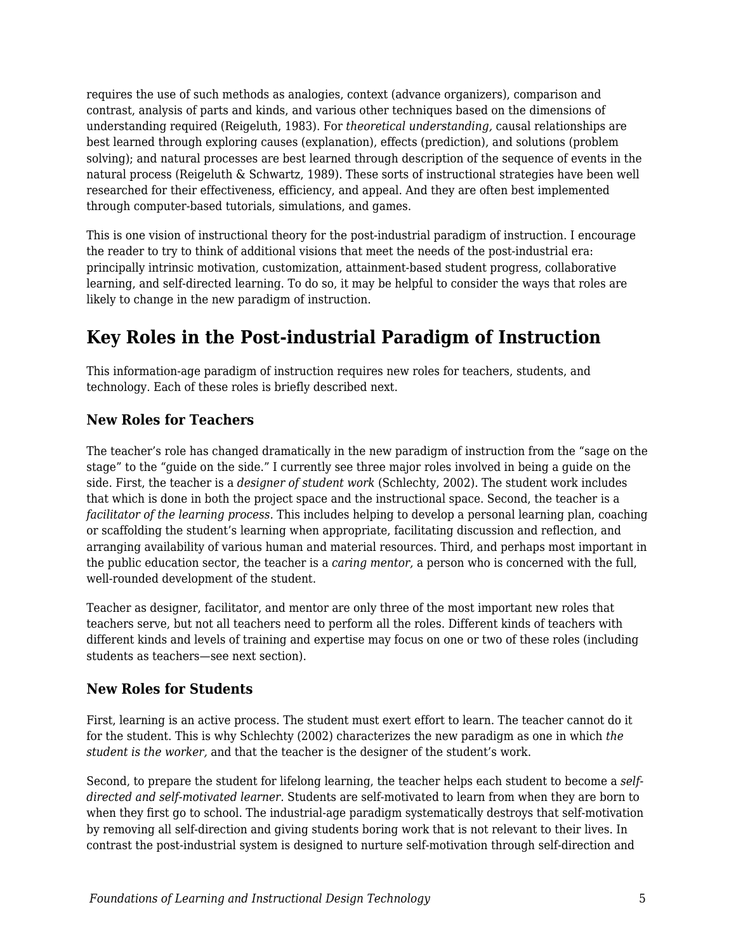requires the use of such methods as analogies, context (advance organizers), comparison and contrast, analysis of parts and kinds, and various other techniques based on the dimensions of understanding required (Reigeluth, 1983). For *theoretical understanding,* causal relationships are best learned through exploring causes (explanation), effects (prediction), and solutions (problem solving); and natural processes are best learned through description of the sequence of events in the natural process (Reigeluth & Schwartz, 1989). These sorts of instructional strategies have been well researched for their effectiveness, efficiency, and appeal. And they are often best implemented through computer-based tutorials, simulations, and games.

This is one vision of instructional theory for the post-industrial paradigm of instruction. I encourage the reader to try to think of additional visions that meet the needs of the post-industrial era: principally intrinsic motivation, customization, attainment-based student progress, collaborative learning, and self-directed learning. To do so, it may be helpful to consider the ways that roles are likely to change in the new paradigm of instruction.

### **Key Roles in the Post-industrial Paradigm of Instruction**

This information-age paradigm of instruction requires new roles for teachers, students, and technology. Each of these roles is briefly described next.

#### **New Roles for Teachers**

The teacher's role has changed dramatically in the new paradigm of instruction from the "sage on the stage" to the "guide on the side." I currently see three major roles involved in being a guide on the side. First, the teacher is a *designer of student work* (Schlechty, 2002). The student work includes that which is done in both the project space and the instructional space. Second, the teacher is a *facilitator of the learning process.* This includes helping to develop a personal learning plan, coaching or scaffolding the student's learning when appropriate, facilitating discussion and reflection, and arranging availability of various human and material resources. Third, and perhaps most important in the public education sector, the teacher is a *caring mentor,* a person who is concerned with the full, well-rounded development of the student.

Teacher as designer, facilitator, and mentor are only three of the most important new roles that teachers serve, but not all teachers need to perform all the roles. Different kinds of teachers with different kinds and levels of training and expertise may focus on one or two of these roles (including students as teachers—see next section).

#### **New Roles for Students**

First, learning is an active process. The student must exert effort to learn. The teacher cannot do it for the student. This is why Schlechty (2002) characterizes the new paradigm as one in which *the student is the worker,* and that the teacher is the designer of the student's work.

Second, to prepare the student for lifelong learning, the teacher helps each student to become a *selfdirected and self-motivated learner.* Students are self-motivated to learn from when they are born to when they first go to school. The industrial-age paradigm systematically destroys that self-motivation by removing all self-direction and giving students boring work that is not relevant to their lives. In contrast the post-industrial system is designed to nurture self-motivation through self-direction and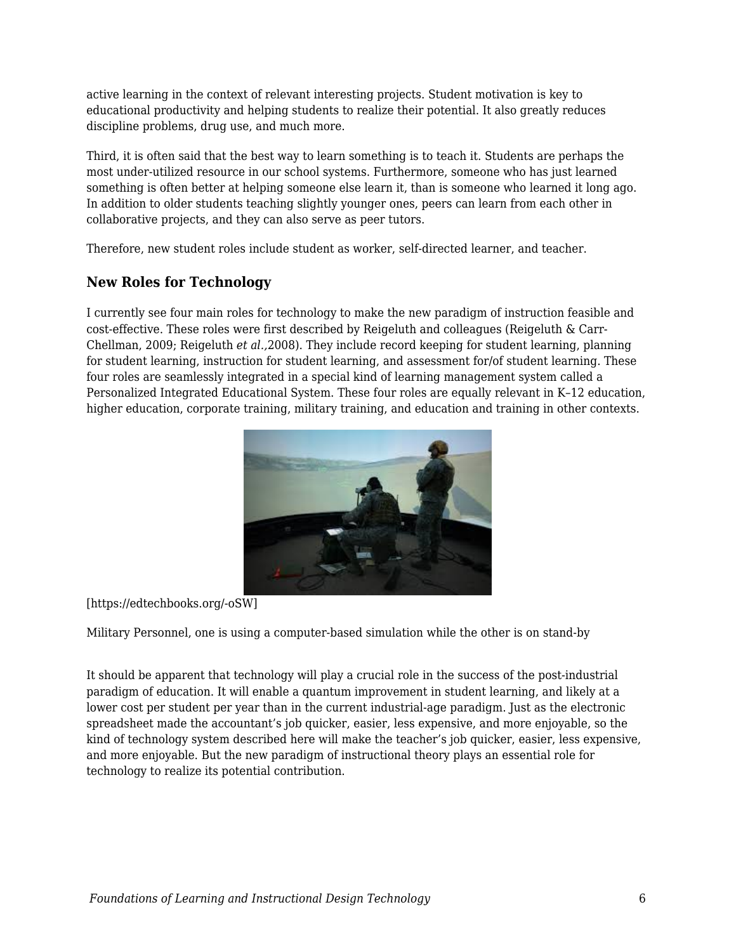active learning in the context of relevant interesting projects. Student motivation is key to educational productivity and helping students to realize their potential. It also greatly reduces discipline problems, drug use, and much more.

Third, it is often said that the best way to learn something is to teach it. Students are perhaps the most under-utilized resource in our school systems. Furthermore, someone who has just learned something is often better at helping someone else learn it, than is someone who learned it long ago. In addition to older students teaching slightly younger ones, peers can learn from each other in collaborative projects, and they can also serve as peer tutors.

Therefore, new student roles include student as worker, self-directed learner, and teacher.

#### **New Roles for Technology**

I currently see four main roles for technology to make the new paradigm of instruction feasible and cost-effective. These roles were first described by Reigeluth and colleagues (Reigeluth & Carr-Chellman, 2009; Reigeluth *et al.,*2008). They include record keeping for student learning, planning for student learning, instruction for student learning, and assessment for/of student learning. These four roles are seamlessly integrated in a special kind of learning management system called a Personalized Integrated Educational System. These four roles are equally relevant in K–12 education, higher education, corporate training, military training, and education and training in other contexts.



#### [https://edtechbooks.org/-oSW]

Military Personnel, one is using a computer-based simulation while the other is on stand-by

It should be apparent that technology will play a crucial role in the success of the post-industrial paradigm of education. It will enable a quantum improvement in student learning, and likely at a lower cost per student per year than in the current industrial-age paradigm. Just as the electronic spreadsheet made the accountant's job quicker, easier, less expensive, and more enjoyable, so the kind of technology system described here will make the teacher's job quicker, easier, less expensive, and more enjoyable. But the new paradigm of instructional theory plays an essential role for technology to realize its potential contribution.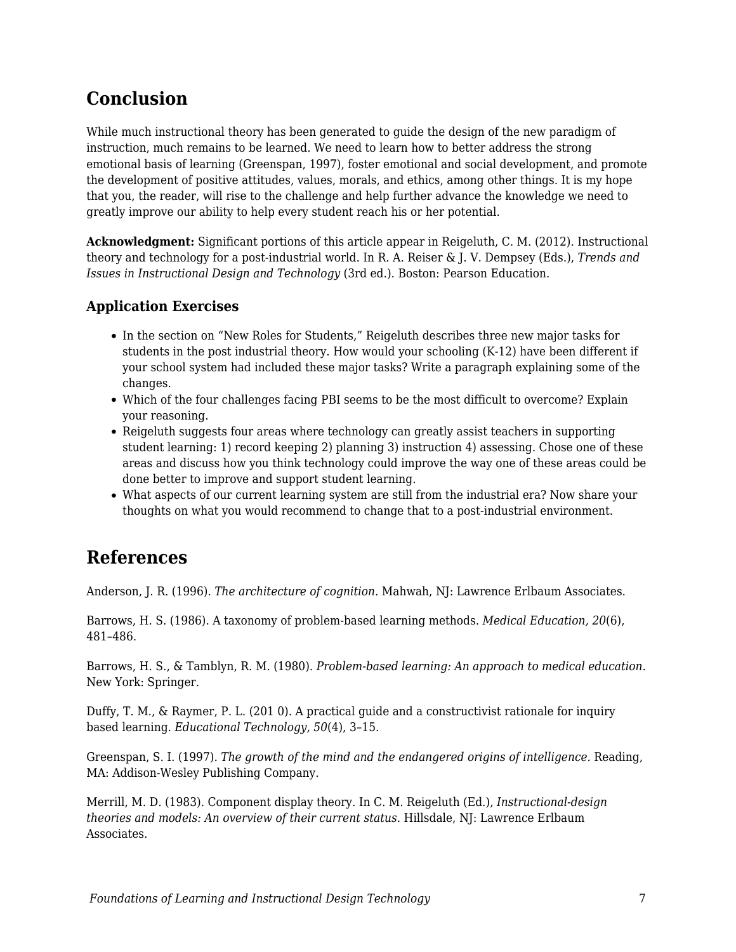## **Conclusion**

While much instructional theory has been generated to guide the design of the new paradigm of instruction, much remains to be learned. We need to learn how to better address the strong emotional basis of learning (Greenspan, 1997), foster emotional and social development, and promote the development of positive attitudes, values, morals, and ethics, among other things. It is my hope that you, the reader, will rise to the challenge and help further advance the knowledge we need to greatly improve our ability to help every student reach his or her potential.

**Acknowledgment:** Significant portions of this article appear in Reigeluth, C. M. (2012). Instructional theory and technology for a post-industrial world. In R. A. Reiser & J. V. Dempsey (Eds.), *Trends and Issues in Instructional Design and Technology* (3rd ed.). Boston: Pearson Education.

### **Application Exercises**

- In the section on "New Roles for Students," Reigeluth describes three new major tasks for students in the post industrial theory. How would your schooling (K-12) have been different if your school system had included these major tasks? Write a paragraph explaining some of the changes.
- Which of the four challenges facing PBI seems to be the most difficult to overcome? Explain your reasoning.
- Reigeluth suggests four areas where technology can greatly assist teachers in supporting student learning: 1) record keeping 2) planning 3) instruction 4) assessing. Chose one of these areas and discuss how you think technology could improve the way one of these areas could be done better to improve and support student learning.
- What aspects of our current learning system are still from the industrial era? Now share your thoughts on what you would recommend to change that to a post-industrial environment.

### **References**

Anderson, J. R. (1996). *The architecture of cognition.* Mahwah, NJ: Lawrence Erlbaum Associates.

Barrows, H. S. (1986). A taxonomy of problem-based learning methods. *Medical Education, 20*(6), 481–486.

Barrows, H. S., & Tamblyn, R. M. (1980). *Problem-based learning: An approach to medical education.* New York: Springer.

Duffy, T. M., & Raymer, P. L. (201 0). A practical guide and a constructivist rationale for inquiry based learning. *Educational Technology, 50*(4), 3–15.

Greenspan, S. I. (1997). *The growth of the mind and the endangered origins of intelligence.* Reading, MA: Addison-Wesley Publishing Company.

Merrill, M. D. (1983). Component display theory. In C. M. Reigeluth (Ed.), *Instructional-design theories and models: An overview of their current status.* Hillsdale, NJ: Lawrence Erlbaum Associates.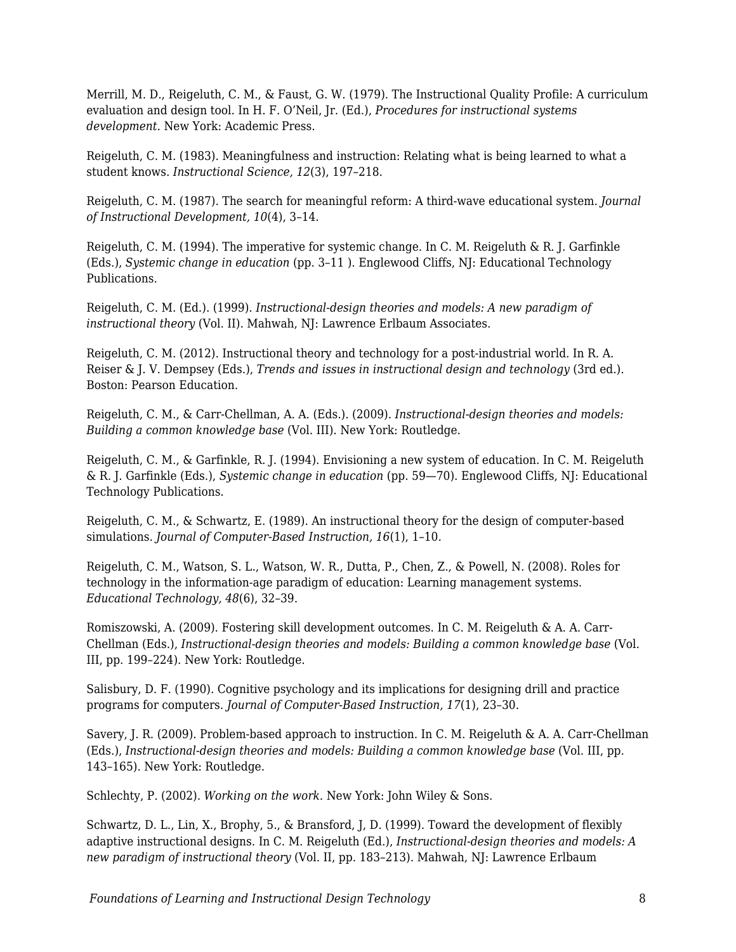Merrill, M. D., Reigeluth, C. M., & Faust, G. W. (1979). The Instructional Quality Profile: A curriculum evaluation and design tool. In H. F. O'Neil, Jr. (Ed.), *Procedures for instructional systems development.* New York: Academic Press.

Reigeluth, C. M. (1983). Meaningfulness and instruction: Relating what is being learned to what a student knows. *Instructional Science, 12*(3), 197–218.

Reigeluth, C. M. (1987). The search for meaningful reform: A third-wave educational system. *Journal of Instructional Development, 10*(4), 3–14.

Reigeluth, C. M. (1994). The imperative for systemic change. In C. M. Reigeluth & R. J. Garfinkle (Eds.), *Systemic change in education* (pp. 3–11 ). Englewood Cliffs, NJ: Educational Technology Publications.

Reigeluth, C. M. (Ed.). (1999). *Instructional-design theories and models: A new paradigm of instructional theory* (Vol. II). Mahwah, NJ: Lawrence Erlbaum Associates.

Reigeluth, C. M. (2012). Instructional theory and technology for a post-industrial world. In R. A. Reiser & J. V. Dempsey (Eds.), *Trends and issues in instructional design and technology* (3rd ed.). Boston: Pearson Education.

Reigeluth, C. M., & Carr-Chellman, A. A. (Eds.). (2009). *Instructional-design theories and models: Building a common knowledge base* (Vol. III). New York: Routledge.

Reigeluth, C. M., & Garfinkle, R. J. (1994). Envisioning a new system of education. In C. M. Reigeluth & R. J. Garfinkle (Eds.), *Systemic change in education* (pp. 59—70). Englewood Cliffs, NJ: Educational Technology Publications.

Reigeluth, C. M., & Schwartz, E. (1989). An instructional theory for the design of computer-based simulations. *Journal of Computer-Based Instruction, 16*(1), 1–10.

Reigeluth, C. M., Watson, S. L., Watson, W. R., Dutta, P., Chen, Z., & Powell, N. (2008). Roles for technology in the information-age paradigm of education: Learning management systems. *Educational Technology, 48*(6), 32–39.

Romiszowski, A. (2009). Fostering skill development outcomes. In C. M. Reigeluth & A. A. Carr-Chellman (Eds.), *Instructional-design theories and models: Building a common knowledge base* (Vol. III, pp. 199–224). New York: Routledge.

Salisbury, D. F. (1990). Cognitive psychology and its implications for designing drill and practice programs for computers. *Journal of Computer-Based Instruction, 17*(1), 23–30.

Savery, J. R. (2009). Problem-based approach to instruction. In C. M. Reigeluth & A. A. Carr-Chellman (Eds.), *Instructional-design theories and models: Building a common knowledge base* (Vol. III, pp. 143–165). New York: Routledge.

Schlechty, P. (2002). *Working on the work.* New York: John Wiley & Sons.

Schwartz, D. L., Lin, X., Brophy, 5., & Bransford, J, D. (1999). Toward the development of flexibly adaptive instructional designs. In C. M. Reigeluth (Ed.), *Instructional-design theories and models: A new paradigm of instructional theory* (Vol. II, pp. 183–213). Mahwah, NJ: Lawrence Erlbaum